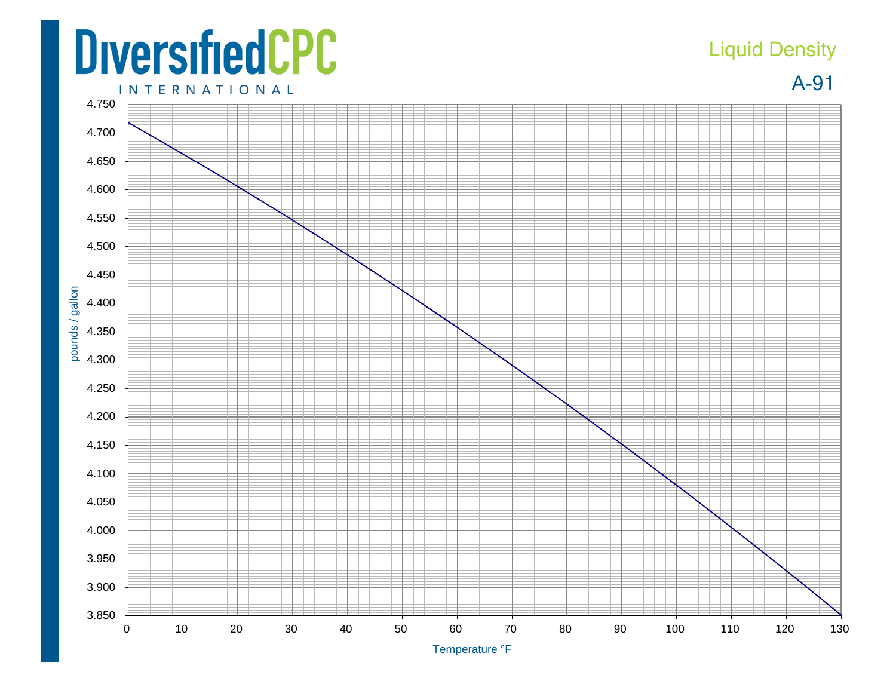## **DiversifiedCPC INTERNATIONAL**

## Liquid Density

A-91